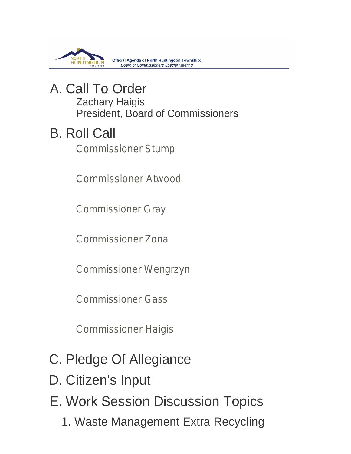

**Official Agenda of North Huntingdon Township: Board of Commissioners Special Meeting** 

## A. Call To Order Zachary Haigis President, Board of Commissioners

# **B. Roll Call**

Commissioner Stump

Commissioner Atwood

Commissioner Gray

Commissioner Zona

Commissioner Wengrzyn

Commissioner Gass

Commissioner Haigis

- C. Pledge Of Allegiance
- D. Citizen's Input
- E. Work Session Discussion Topics
	- 1. Waste Management Extra Recycling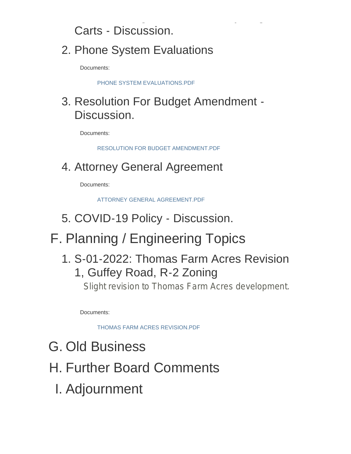Carts - Discussion.

## 2. Phone System Evaluations

Documents:

PHONE SYSTEM EVALUATIONS.PDF

## 3. Resolution For Budget Amendment -Discussion.

Waste Management Extra Recycling

Documents:

RESOLUTION FOR BUDGET AMENDMENT.PDF

## 4. Attorney General Agreement

Documents:

ATTORNEY GENERAL AGREEMENT.PDF

- 5. COVID-19 Policy Discussion.
- F. Planning / Engineering Topics
	- 1. S-01-2022: Thomas Farm Acres Revision 1, Guffey Road, R-2 Zoning

Slight revision to Thomas Farm Acres development.

Documents:

THOMAS FARM ACRES REVISION.PDF

- G. Old Business
- H. Further Board Comments
	- Adjournment I.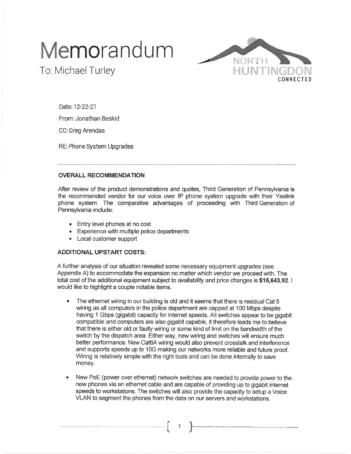# Memorandum



To: Michael Turley

Date: 12-22-21 From: Jonathan Beskid

CC: Greg Arendas

RE: Phone System Upgrades

## **OVERALL RECOMMENDATION**

After review of the product demonstrations and quotes, Third Generation of Pennsylvania is the recommended vendor for our voice over IP phone system upgrade with their Yealink phone system. The comparative advantages of proceeding with Third Generation of Pennsylvania include:

- Entry level phones at no cost
- Experience with multiple police departments
- Local customer support

## **ADDITIONAL UPSTART COSTS:**

A further analysis of our situation revealed some necessary equipment upgrades (see Appendix A) to accommodate the expansion no matter which vendor we proceed with. The total cost of the additional equipment subject to availability and price changes is \$15,643.92. would like to highlight a couple notable items.

- The ethernet wiring in our building is old and it seems that there is residual Cat 5 wiring as all computers in the police department are capped at 100 Mbps despite having 1 Gbps (gigabit) capacity for internet speeds. All switches appear to be gigabit compatible and computers are also gigabit capable, it therefore leads me to believe that there is either old or faulty wiring or some kind of limit on the bandwidth of the switch by the dispatch area. Either way, new wiring and switches will ensure much better performance. New Cat6A wiring would also prevent crosstalk and interference and supports speeds up to 10G making our networks more reliable and future proof. Wiring is relatively simple with the right tools and can be done internally to save money.
- New PoE (power over ethernet) network switches are needed to provide power to the new phones via an ethernet cable and are capable of providing up to gigabit internet speeds to workstations. The switches will also provide the capacity to setup a Voice VLAN to segment the phones from the data on our servers and workstations.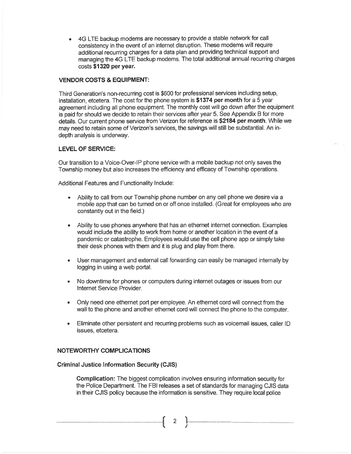4G LTE backup modems are necessary to provide a stable network for call consistency in the event of an internet disruption. These modems will require additional recurring charges for a data plan and providing technical support and managing the 4G LTE backup modems. The total additional annual recurring charges costs \$1320 per year.

## **VENDOR COSTS & EQUIPMENT:**

Third Generation's non-recurring cost is \$600 for professional services including setup, installation, etcetera. The cost for the phone system is \$1374 per month for a 5 year agreement including all phone equipment. The monthly cost will go down after the equipment is paid for should we decide to retain their services after year 5. See Appendix B for more details. Our current phone service from Verizon for reference is \$2184 per month. While we may need to retain some of Verizon's services, the savings will still be substantial. An indepth analysis is underway.

## **LEVEL OF SERVICE:**

Our transition to a Voice-Over-IP phone service with a mobile backup not only saves the Township money but also increases the efficiency and efficacy of Township operations.

Additional Features and Functionality Include:

- Ability to call from our Township phone number on any cell phone we desire via a  $\bullet$ mobile app that can be turned on or off once installed. (Great for employees who are constantly out in the field.)
- Ability to use phones anywhere that has an ethernet internet connection. Examples  $\bullet$ would include the ability to work from home or another location in the event of a pandemic or catastrophe. Employees would use the cell phone app or simply take their desk phones with them and it is plug and play from there.
- User management and external call forwarding can easily be managed internally by logging in using a web portal.
- No downtime for phones or computers during internet outages or issues from our Internet Service Provider.
- Only need one ethernet port per employee. An ethernet cord will connect from the wall to the phone and another ethernet cord will connect the phone to the computer.
- Eliminate other persistent and recurring problems such as voicemail issues, caller ID issues, etcetera.

## NOTEWORTHY COMPLICATIONS

### **Criminal Justice Information Security (CJIS)**

**Complication:** The biggest complication involves ensuring information security for the Police Department. The FBI releases a set of standards for managing CJIS data in their CJIS policy because the information is sensitive. They require local police

 $\overline{2}$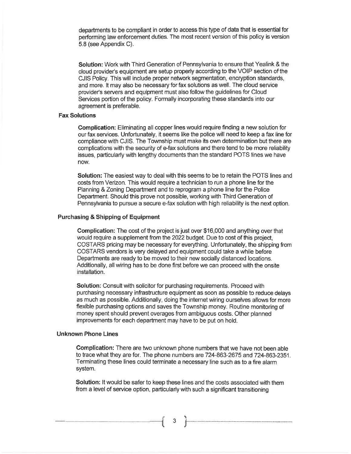departments to be compliant in order to access this type of data that is essential for performing law enforcement duties. The most recent version of this policy is version 5.8 (see Appendix C).

Solution: Work with Third Generation of Pennsylvania to ensure that Yealink & the cloud provider's equipment are setup properly according to the VOIP section of the CJIS Policy. This will include proper network segmentation, encryption standards, and more. It may also be necessary for fax solutions as well. The cloud service provider's servers and equipment must also follow the guidelines for Cloud Services portion of the policy. Formally incorporating these standards into our agreement is preferable.

### **Fax Solutions**

**Complication:** Eliminating all copper lines would require finding a new solution for our fax services. Unfortunately, it seems like the police will need to keep a fax line for compliance with CJIS. The Township must make its own determination but there are complications with the security of e-fax solutions and there tend to be more reliability issues, particularly with lengthy documents than the standard POTS lines we have now.

**Solution:** The easiest way to deal with this seems to be to retain the POTS lines and costs from Verizon. This would require a technician to run a phone line for the Planning & Zoning Department and to reprogram a phone line for the Police Department. Should this prove not possible, working with Third Generation of Pennsylvania to pursue a secure e-fax solution with high reliability is the next option.

#### **Purchasing & Shipping of Equipment**

Complication: The cost of the project is just over \$16,000 and anything over that would require a supplement from the 2022 budget. Due to cost of this project. COSTARS pricing may be necessary for everything. Unfortunately, the shipping from COSTARS vendors is very delayed and equipment could take a while before Departments are ready to be moved to their new socially distanced locations. Additionally, all wiring has to be done first before we can proceed with the onsite installation.

**Solution:** Consult with solicitor for purchasing requirements. Proceed with purchasing necessary infrastructure equipment as soon as possible to reduce delays as much as possible. Additionally, doing the internet wiring ourselves allows for more flexible purchasing options and saves the Township money. Routine monitoring of money spent should prevent overages from ambiguous costs. Other planned improvements for each department may have to be put on hold.

#### **Unknown Phone Lines**

Complication: There are two unknown phone numbers that we have not been able to trace what they are for. The phone numbers are 724-863-2675 and 724-863-2351. Terminating these lines could terminate a necessary line such as to a fire alarm system.

Solution: It would be safer to keep these lines and the costs associated with them from a level of service option, particularly with such a significant transitioning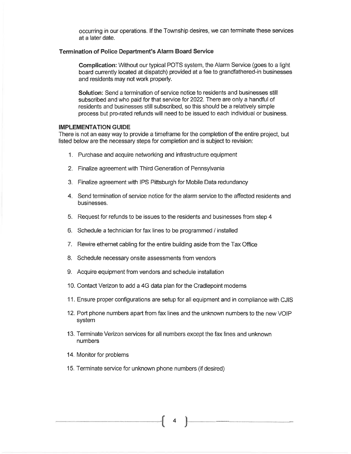occurring in our operations. If the Township desires, we can terminate these services at a later date.

#### **Termination of Police Department's Alarm Board Service**

**Complication:** Without our typical POTS system, the Alarm Service (goes to a light board currently located at dispatch) provided at a fee to grandfathered-in businesses and residents may not work properly.

Solution: Send a termination of service notice to residents and businesses still subscribed and who paid for that service for 2022. There are only a handful of residents and businesses still subscribed, so this should be a relatively simple process but pro-rated refunds will need to be issued to each individual or business.

### **IMPLEMENTATION GUIDE**

There is not an easy way to provide a timeframe for the completion of the entire project, but listed below are the necessary steps for completion and is subject to revision:

- 1. Purchase and acquire networking and infrastructure equipment
- 2. Finalize agreement with Third Generation of Pennsylvania
- 3. Finalize agreement with IPS Pittsburgh for Mobile Data redundancy
- 4. Send termination of service notice for the alarm service to the affected residents and businesses.
- 5. Request for refunds to be issues to the residents and businesses from step 4
- 6. Schedule a technician for fax lines to be programmed / installed
- 7. Rewire ethernet cabling for the entire building aside from the Tax Office
- 8. Schedule necessary onsite assessments from vendors
- 9. Acquire equipment from vendors and schedule installation
- 10. Contact Verizon to add a 4G data plan for the Cradlepoint modems
- 11. Ensure proper configurations are setup for all equipment and in compliance with CJIS
- 12. Port phone numbers apart from fax lines and the unknown numbers to the new VOIP system
- 13. Terminate Verizon services for all numbers except the fax lines and unknown **numbers**
- 14. Monitor for problems
- 15. Terminate service for unknown phone numbers (if desired)

 $\overline{4}$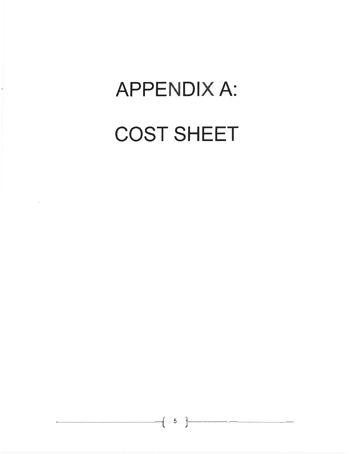# **APPENDIX A:**

# **COST SHEET**

 $\bar{\bar{z}}$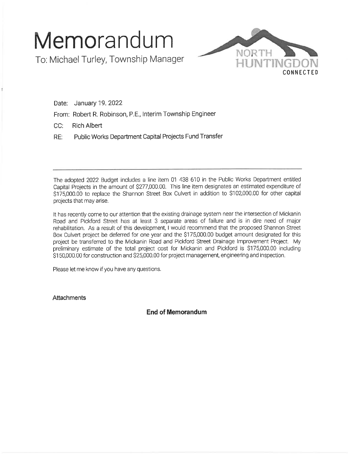# Memorandum

To: Michael Turley, Township Manager



Date: January 19. 2022

From: Robert R. Robinson, P.E., Interim Township Engineer

 $CC:$ **Rich Albert** 

Public Works Department Capital Projects Fund Transfer RE:

The adopted 2022 Budget includes a line item 01 438 610 in the Public Works Department entitled Capital Projects in the amount of \$277,000.00. This line item designates an estimated expenditure of \$175,000.00 to replace the Shannon Street Box Culvert in addition to \$102,000.00 for other capital projects that may arise.

It has recently come to our attention that the existing drainage system near the intersection of Mickanin Road and Pickford Street has at least 3 separate areas of failure and is in dire need of major rehabilitation. As a result of this development, I would recommend that the proposed Shannon Street Box Culvert project be deferred for one year and the \$175,000.00 budget amount designated for this project be transferred to the Mickanin Road and Pickford Street Drainage Improvement Project. My preliminary estimate of the total project cost for Mickanin and Pickford is \$175,000.00 including \$150,000.00 for construction and \$25,000.00 for project management, engineering and inspection.

Please let me know if you have any questions.

**Attachments** 

**End of Memorandum**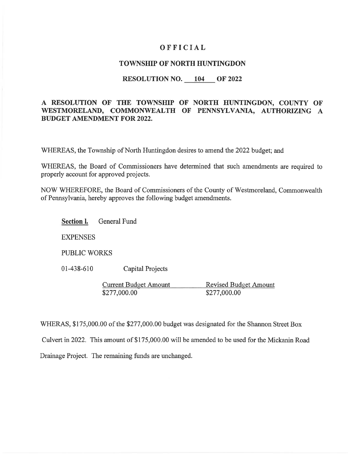## OFFICIAL

## **TOWNSHIP OF NORTH HUNTINGDON**

## RESOLUTION NO. 104 OF 2022

## A RESOLUTION OF THE TOWNSHIP OF NORTH HUNTINGDON, COUNTY OF WESTMORELAND, COMMONWEALTH OF PENNSYLVANIA, AUTHORIZING A **BUDGET AMENDMENT FOR 2022.**

WHEREAS, the Township of North Huntingdon desires to amend the 2022 budget; and

WHEREAS, the Board of Commissioners have determined that such amendments are required to properly account for approved projects.

NOW WHEREFORE, the Board of Commissioners of the County of Westmoreland, Commonwealth of Pennsylvania, hereby approves the following budget amendments.

**General Fund Section l.** 

**EXPENSES** 

**PUBLIC WORKS** 

 $01-438-610$ **Capital Projects** 

> **Current Budget Amount Revised Budget Amount** \$277,000.00 \$277,000.00

WHERAS, \$175,000.00 of the \$277,000.00 budget was designated for the Shannon Street Box

Culvert in 2022. This amount of \$175,000.00 will be amended to be used for the Mickanin Road

Drainage Project. The remaining funds are unchanged.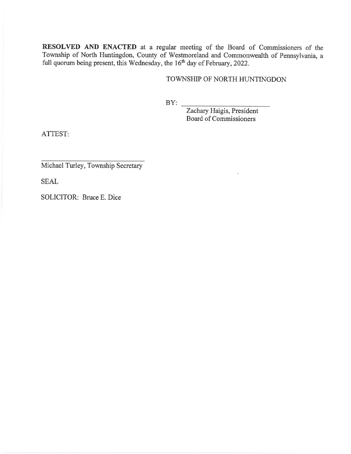RESOLVED AND ENACTED at a regular meeting of the Board of Commissioners of the Township of North Huntingdon, County of Westmoreland and Commonwealth of Pennsylvania, a full quorum being present, this Wednesday, the 16<sup>th</sup> day of February, 2022.

## TOWNSHIP OF NORTH HUNTINGDON

 $BY:$ 

Zachary Haigis, President Board of Commissioners

ATTEST:

Michael Turley, Township Secretary

**SEAL** 

SOLICITOR: Bruce E. Dice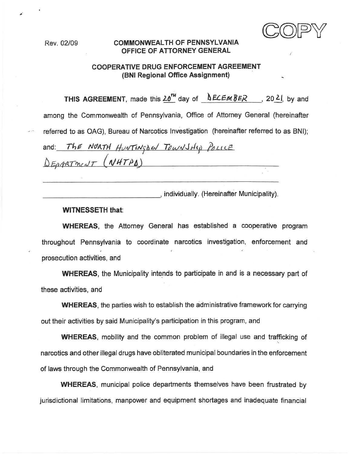## **COMMONWEALTH OF PENNSYLVANIA** OFFICE OF ATTORNEY GENERAL

## **COOPERATIVE DRUG ENFORCEMENT AGREEMENT** (BNI Regional Office Assignment)

THIS AGREEMENT, made this  $20^{14}$  day of  $\triangle ECEmBER$ , 20 21, by and among the Commonwealth of Pennsylvania, Office of Attorney General (hereinafter referred to as OAG). Bureau of Narcotics Investigation (hereinafter referred to as BNI);

and: The NORTH HUNTINGOW TOWNSHIP POLICE DEPARTMENT (NHTPA) <u> 1980 - Johann Barnett, fransk politik (</u>

dividually. (Hereinafter Municipality).

## **WITNESSETH that:**

**WHEREAS**, the Attorney General has established a cooperative program throughout Pennsylvania to coordinate narcotics investigation, enforcement and prosecution activities, and

**WHEREAS**, the Municipality intends to participate in and is a necessary part of these activities, and

**WHEREAS**, the parties wish to establish the administrative framework for carrying out their activities by said Municipality's participation in this program, and

**WHEREAS**, mobility and the common problem of illegal use and trafficking of narcotics and other illegal drugs have obliterated municipal boundaries in the enforcement of laws through the Commonwealth of Pennsylvania, and

**WHEREAS**, municipal police departments themselves have been frustrated by jurisdictional limitations, manpower and equipment shortages and inadequate financial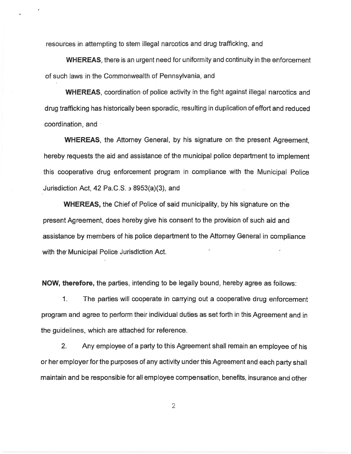resources in attempting to stem illegal narcotics and drug trafficking, and

**WHEREAS**, there is an urgent need for uniformity and continuity in the enforcement of such laws in the Commonwealth of Pennsylvania, and

**WHEREAS**, coordination of police activity in the fight against illegal narcotics and drug trafficking has historically been sporadic, resulting in duplication of effort and reduced coordination, and a

**WHEREAS**, the Attorney General, by his signature on the present Agreement. hereby requests the aid and assistance of the municipal police department to implement this cooperative drug enforcement program in compliance with the Municipal Police Jurisdiction Act, 42 Pa.C.S.  $\rightarrow$  8953(a)(3), and

**WHEREAS, the Chief of Police of said municipality, by his signature on the** present Agreement, does hereby give his consent to the provision of such aid and assistance by members of his police department to the Attorney General in compliance with the Municipal Police Jurisdiction Act.

**NOW, therefore, the parties, intending to be legally bound, hereby agree as follows:** 

1. The parties will cooperate in carrying out a cooperative drug enforcement program and agree to perform their individual duties as set forth in this Agreement and in the guidelines, which are attached for reference.

 $2.$ Any employee of a party to this Agreement shall remain an employee of his or her employer for the purposes of any activity under this Agreement and each party shall maintain and be responsible for all employee compensation, benefits, insurance and other

 $\overline{2}$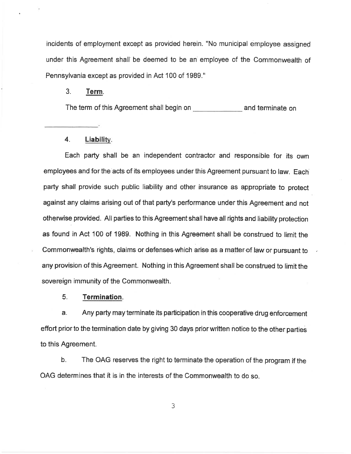incidents of employment except as provided herein. "No municipal employee assigned under this Agreement shall be deemed to be an employee of the Commonwealth of Pennsylvania except as provided in Act 100 of 1989."

#### $3<sub>1</sub>$ Term.

The term of this Agreement shall begin on **Example 20** and terminate on

#### $4.$ Liability.

Each party shall be an independent contractor and responsible for its own employees and for the acts of its employees under this Agreement pursuant to law. Each party shall provide such public liability and other insurance as appropriate to protect against any claims arising out of that party's performance under this Agreement and not otherwise provided. All parties to this Agreement shall have all rights and liability protection as found in Act 100 of 1989. Nothing in this Agreement shall be construed to limit the Commonwealth's rights, claims or defenses which arise as a matter of law or pursuant to any provision of this Agreement. Nothing in this Agreement shall be construed to limit the sovereign immunity of the Commonwealth.

#### 5. **Termination.**

Any party may terminate its participation in this cooperative drug enforcement a. effort prior to the termination date by giving 30 days prior written notice to the other parties to this Agreement.

b. The OAG reserves the right to terminate the operation of the program if the OAG determines that it is in the interests of the Commonwealth to do so.

 $\mathfrak{Z}$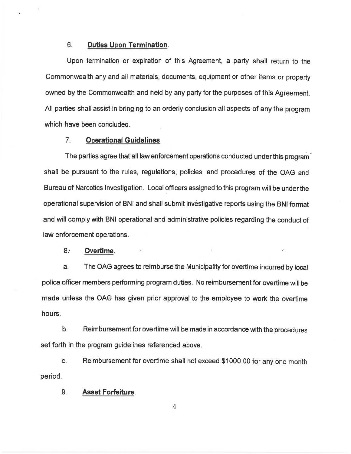#### 6. **Duties Upon Termination.**

Upon termination or expiration of this Agreement, a party shall return to the Commonwealth any and all materials, documents, equipment or other items or property owned by the Commonwealth and held by any party for the purposes of this Agreement. All parties shall assist in bringing to an orderly conclusion all aspects of any the program which have been concluded.

#### $7<sub>1</sub>$ **Operational Guidelines**

The parties agree that all law enforcement operations conducted under this program shall be pursuant to the rules, regulations, policies, and procedures of the OAG and Bureau of Narcotics Investigation. Local officers assigned to this program will be under the operational supervision of BNI and shall submit investigative reports using the BNI format and will comply with BNI operational and administrative policies regarding the conduct of law enforcement operations.

#### $8.5$ Overtime.

The OAG agrees to reimburse the Municipality for overtime incurred by local a. police officer members performing program duties. No reimbursement for overtime will be made unless the OAG has given prior approval to the employee to work the overtime hours.

 $b<sub>1</sub>$ Reimbursement for overtime will be made in accordance with the procedures set forth in the program guidelines referenced above.

C. Reimbursement for overtime shall not exceed \$1000.00 for any one month period.

#### 9. **Asset Forfeiture.**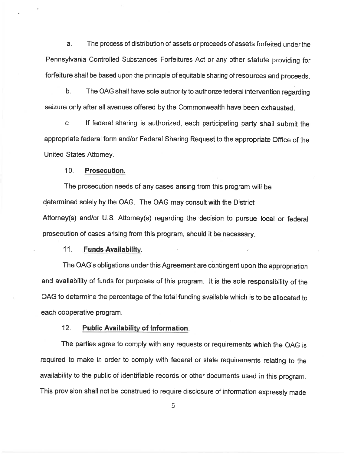The process of distribution of assets or proceeds of assets forfeited under the a. Pennsylvania Controlled Substances Forfeitures Act or any other statute providing for forfeiture shall be based upon the principle of equitable sharing of resources and proceeds.

b. The OAG shall have sole authority to authorize federal intervention regarding seizure only after all avenues offered by the Commonwealth have been exhausted.

If federal sharing is authorized, each participating party shall submit the C. appropriate federal form and/or Federal Sharing Request to the appropriate Office of the United States Attorney.

#### $10.$ Prosecution.

The prosecution needs of any cases arising from this program will be determined solely by the OAG. The OAG may consult with the District Attorney(s) and/or U.S. Attorney(s) regarding the decision to pursue local or federal prosecution of cases arising from this program, should it be necessary.

#### $11.$ **Funds Availability.**

The OAG's obligations under this Agreement are contingent upon the appropriation and availability of funds for purposes of this program. It is the sole responsibility of the OAG to determine the percentage of the total funding available which is to be allocated to each cooperative program.

#### $12.$ **Public Availability of Information.**

The parties agree to comply with any requests or requirements which the OAG is required to make in order to comply with federal or state requirements relating to the availability to the public of identifiable records or other documents used in this program. This provision shall not be construed to require disclosure of information expressly made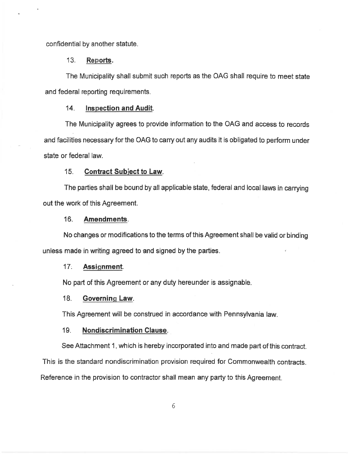confidential by another statute.

#### $13.$ Reports.

The Municipality shall submit such reports as the OAG shall require to meet state and federal reporting requirements.

#### $14.$ **Inspection and Audit.**

The Municipality agrees to provide information to the OAG and access to records and facilities necessary for the OAG to carry out any audits it is obligated to perform under state or federal law.

#### $15<sub>1</sub>$ **Contract Subject to Law.**

The parties shall be bound by all applicable state, federal and local laws in carrying out the work of this Agreement.

#### $16.$ Amendments.

No changes or modifications to the terms of this Agreement shall be valid or binding unless made in writing agreed to and signed by the parties.

#### $17<sub>1</sub>$ Assignment.

No part of this Agreement or any duty hereunder is assignable.

#### 18. Governing Law.

This Agreement will be construed in accordance with Pennsylvania law.

#### **Nondiscrimination Clause.**  $19.$

See Attachment 1, which is hereby incorporated into and made part of this contract.

This is the standard nondiscrimination provision required for Commonwealth contracts.

Reference in the provision to contractor shall mean any party to this Agreement.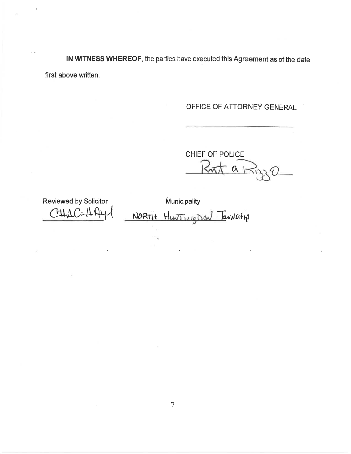IN WITNESS WHEREOF, the parties have executed this Agreement as of the date first above written.

OFFICE OF ATTORNEY GENERAL

CHIEF OF POLICE  $\alpha$ 

Reviewed by Solicitor  $CALLC$ 

Municipality NORTH HUNTING DON TOUNSHIP

 $\bar{\beta}$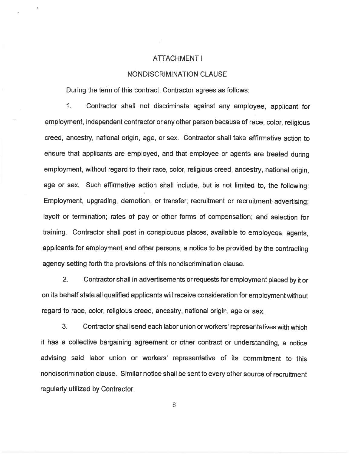## ATTACHMENT |

## **NONDISCRIMINATION CLAUSE**

During the term of this contract, Contractor agrees as follows:

1. Contractor shall not discriminate against any employee, applicant for employment, independent contractor or any other person because of race, color, religious creed, ancestry, national origin, age, or sex. Contractor shall take affirmative action to ensure that applicants are employed, and that employee or agents are treated during employment, without regard to their race, color, religious creed, ancestry, national origin, age or sex. Such affirmative action shall include, but is not limited to, the following: Employment, upgrading, demotion, or transfer; recruitment or recruitment advertising; layoff or termination; rates of pay or other forms of compensation; and selection for training. Contractor shall post in conspicuous places, available to employees, agents, applicants for employment and other persons, a notice to be provided by the contracting agency setting forth the provisions of this nondiscrimination clause.

 $2<sub>1</sub>$ Contractor shall in advertisements or requests for employment placed by it or on its behalf state all qualified applicants will receive consideration for employment without regard to race, color, religious creed, ancestry, national origin, age or sex.

Contractor shall send each labor union or workers' representatives with which 3. it has a collective bargaining agreement or other contract or understanding, a notice advising said labor union or workers' representative of its commitment to this nondiscrimination clause. Similar notice shall be sent to every other source of recruitment regularly utilized by Contractor.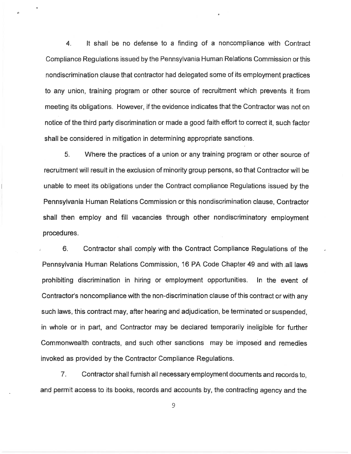$\overline{4}$ . It shall be no defense to a finding of a noncompliance with Contract Compliance Regulations issued by the Pennsylvania Human Relations Commission or this nondiscrimination clause that contractor had delegated some of its employment practices to any union, training program or other source of recruitment which prevents it from meeting its obligations. However, if the evidence indicates that the Contractor was not on notice of the third party discrimination or made a good faith effort to correct it, such factor shall be considered in mitigation in determining appropriate sanctions.

5. Where the practices of a union or any training program or other source of recruitment will result in the exclusion of minority group persons, so that Contractor will be unable to meet its obligations under the Contract compliance Regulations issued by the Pennsylvania Human Relations Commission or this nondiscrimination clause, Contractor shall then employ and fill vacancies through other nondiscriminatory employment procedures.

6. Contractor shall comply with the Contract Compliance Regulations of the Pennsylvania Human Relations Commission, 16 PA Code Chapter 49 and with all laws prohibiting discrimination in hiring or employment opportunities. In the event of Contractor's noncompliance with the non-discrimination clause of this contract or with any such laws, this contract may, after hearing and adjudication, be terminated or suspended. in whole or in part, and Contractor may be declared temporarily ineligible for further Commonwealth contracts, and such other sanctions may be imposed and remedies invoked as provided by the Contractor Compliance Regulations.

7. Contractor shall furnish all necessary employment documents and records to, and permit access to its books, records and accounts by, the contracting agency and the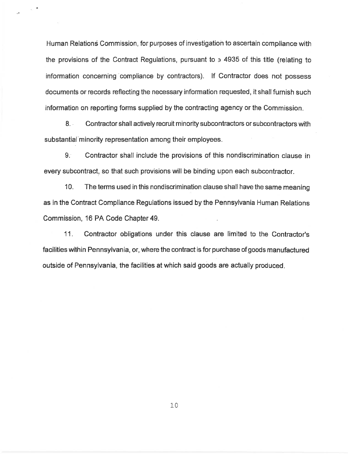Human Relations Commission, for purposes of investigation to ascertain compliance with the provisions of the Contract Regulations, pursuant to  $\frac{1}{2}$  4935 of this title (relating to information concerning compliance by contractors). If Contractor does not possess documents or records reflecting the necessary information requested, it shall furnish such information on reporting forms supplied by the contracting agency or the Commission.

 $8.1$ Contractor shall actively recruit minority subcontractors or subcontractors with substantial minority representation among their employees.

 $9<sup>°</sup>$ Contractor shall include the provisions of this nondiscrimination clause in every subcontract, so that such provisions will be binding upon each subcontractor.

 $10.$ The terms used in this nondiscrimination clause shall have the same meaning as in the Contract Compliance Regulations issued by the Pennsylvania Human Relations Commission, 16 PA Code Chapter 49.

 $11.$ Contractor obligations under this clause are limited to the Contractor's facilities within Pennsylvania, or, where the contract is for purchase of goods manufactured outside of Pennsylvania, the facilities at which said goods are actually produced.